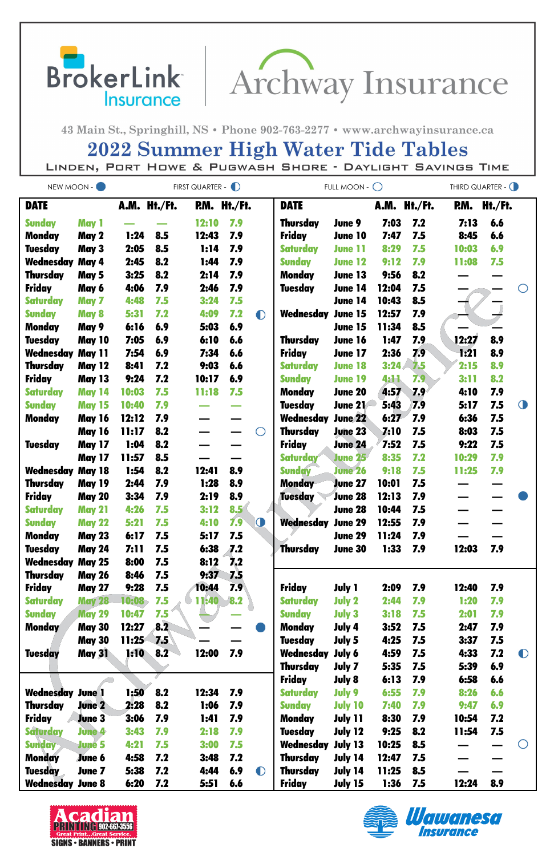BrokerLink | Archway Insurance

43 Main St., Springhill, NS · Phone 902-763-2277 · www.archwayinsurance.ca

## **2022 Summer High Water Tide Tables**

LINDEN, PORT HOWE & PUGWASH SHORE - DAYLIGHT SAVINGS TIME

| NEW MOON -              |               | FIRST QUARTER - D |              |              |     |           | FULL MOON - $\bigcirc$ | THIRD QUARTER - O |       |              |       |         |            |
|-------------------------|---------------|-------------------|--------------|--------------|-----|-----------|------------------------|-------------------|-------|--------------|-------|---------|------------|
| <b>DATE</b>             |               |                   | A.M. Ht./Ft. | P.M. Ht./Ft. |     |           | <b>DATE</b>            |                   |       | A.M. Ht./Ft. | RM.   | Ht./Ft. |            |
| <b>Sunday</b>           | May 1         |                   |              | 12:10        | 7.9 |           | <b>Thursday</b>        | June 9            | 7:03  | 7.2          | 7:13  | 6.6     |            |
| <b>Monday</b>           | May 2         | 1:24              | 8.5          | 12:43        | 7.9 |           | <b>Friday</b>          | June 10           | 7:47  | 7.5          | 8:45  | 6.6     |            |
| <b>Tuesday</b>          | May 3         | 2:05              | 8.5          | 1:14         | 7.9 |           | <b>Saturday</b>        | <b>June 11</b>    | 8:29  | 7.5          | 10:03 | 6.9     |            |
| <b>Wednesday May 4</b>  |               | 2:45              | 8.2          | 1:44         | 7.9 |           | <b>Sunday</b>          | <b>June 12</b>    | 9:12  | 7.9          | 11:08 | 7.5     |            |
| <b>Thursday</b>         | May 5         | 3:25              | 8.2          | 2:14         | 7.9 |           | <b>Monday</b>          | June 13           | 9:56  | 8.2          |       |         |            |
| <b>Friday</b>           | May 6         | 4:06              | 7.9          | 2:46         | 7.9 |           | <b>Tuesday</b>         | June 14           | 12:04 | 7.5          |       |         |            |
| <b>Saturday</b>         | May 7         | 4:48              | 7.5          | 3:24         | 7.5 |           |                        | <b>June 14</b>    | 10:43 | 8.5          |       |         |            |
| <b>Sunday</b>           | May 8         | 5:31              | 7.2          | 4:09         | 7.2 | $\bullet$ | Wednesday              | <b>June 15</b>    | 12:57 | 7.9          |       |         |            |
| <b>Monday</b>           | May 9         | 6:16              | 6.9          | 5:03         | 6.9 |           |                        | June 15           | 11:34 | 8.5          |       |         |            |
| <b>Tuesday</b>          | <b>May 10</b> | 7:05              | 6.9          | 6:10         | 6.6 |           | <b>Thursday</b>        | <b>June 16</b>    | 1:47  | 7.9          | 12:27 | 8.9     |            |
| <b>Wednesday May 11</b> |               | 7:54              | 6.9          | 7:34         | 6.6 |           | <b>Friday</b>          | <b>June 17</b>    | 2:36  | 7.9          | 1:21  | 8.9     |            |
| <b>Thursday</b>         | <b>May 12</b> | 8:41              | 7.2          | 9:03         | 6.6 |           | <b>Saturday</b>        | <b>June 18</b>    | 3:24  | 7.5          | 2:15  | 8.9     |            |
| <b>Friday</b>           | <b>May 13</b> | 9:24              | 7.2          | 10:17        | 6.9 |           | <b>Sunday</b>          | <b>June 19</b>    | 4:11  | 7.9          | 3:11  | 8.2     |            |
| <b>Saturday</b>         | <b>May 14</b> | 10:03             | 7.5          | <b>11:18</b> | 7.5 |           | <b>Monday</b>          | <b>June 20</b>    | 4:57  | 7.9          | 4:10  | 7.9     |            |
| <b>Sunday</b>           | <b>May 15</b> | 10:40             | 7.9          |              |     |           | <b>Tuesday</b>         | <b>June 21</b>    | 5:43  | 7.9          | 5:17  | 7.5     | $\bigcirc$ |
| <b>Monday</b>           | <b>May 16</b> | 12:12             | 7.9          |              |     |           | Wednesday              | <b>June 22</b>    | 6:27  | 7.9          | 6:36  | 7.5     |            |
|                         | <b>May 16</b> | 11:17             | 8.2          |              |     | ◯         | <b>Thursday</b>        | <b>June 23</b>    | 7:10  | 7.5          | 8:03  | 7.5     |            |
| <b>Tuesday</b>          | <b>May 17</b> | 1:04              | 8.2          |              |     |           | <b>Friday</b>          | <b>June 24</b>    | 7:52  | 7.5          | 9:22  | 7.5     |            |
|                         | <b>May 17</b> | 11:57             | 8.5          |              |     |           | <b>Saturday</b>        | <b>June 25</b>    | 8:35  | 7.2          | 10:29 | 7.9     |            |
| <b>Wednesday May 18</b> |               | 1:54              | 8.2          | 12:41        | 8.9 |           | <b>Sunday</b>          | <b>June 26</b>    | 9:18  | 7.5          | 11:25 | 7.9     |            |
| <b>Thursday</b>         | <b>May 19</b> | 2:44              | 7.9          | 1:28         | 8.9 |           | <b>Monday</b>          | <b>June 27</b>    | 10:01 | 7.5          |       |         |            |
| <b>Friday</b>           | <b>May 20</b> | 3:34              | 7.9          | 2:19         | 8.9 |           | <b>Tuesday</b>         | June 28           | 12:13 | 7.9          |       |         |            |
| <b>Saturday</b>         | <b>May 21</b> | 4:26              | 7.5          | 3:12         | 8.5 |           |                        | June 28           | 10:44 | 7.5          |       |         |            |
| <b>Sunday</b>           | <b>May 22</b> | 5:21              | 7.5          | 4:10         | 7.9 | $\bullet$ | Wednesday              | <b>June 29</b>    | 12:55 | 7.9          |       |         |            |
| Monday                  | <b>May 23</b> | 6:17              | 7.5          | 5:17         | 7.5 |           |                        | <b>June 29</b>    | 11:24 | 7.9          |       |         |            |
| <b>Tuesday</b>          | <b>May 24</b> | 7:11              | 7.5          | 6:38         | 7.2 |           | <b>Thursday</b>        | <b>June 30</b>    | 1:33  | 7.9          | 12:03 | 7.9     |            |
| <b>Wednesday May 25</b> |               | 8:00              | 7.5          | 8:12         | 7.2 |           |                        |                   |       |              |       |         |            |
| <b>Thursday</b>         | <b>May 26</b> | 8:46              | 7.5          | 9:37         | 7.5 |           |                        |                   |       |              |       |         |            |
| <b>Friday</b>           | <b>May 27</b> | 9:28              | 7.5          | 10:44        | 7.9 |           | <b>Friday</b>          | <b>July 1</b>     | 2:09  | 7.9          | 12:40 | 7.9     |            |
| <b>Saturday</b>         | <b>May 28</b> | 10:08             | 7.5          | <b>11:40</b> | 8.2 |           | <b>Saturday</b>        | <b>July 2</b>     | 2:44  | 7.9          | 1:20  | 7.9     |            |
| <b>Sunday</b>           | <b>May 29</b> | 10:47             | 7.5          |              |     |           | <b>Sunday</b>          | <b>July 3</b>     | 3:18  | 7.5          | 2:01  | 7.9     |            |
| <b>Monday</b>           | <b>May 30</b> | 12:27             | 8.2          |              |     |           | <b>Monday</b>          | July 4            | 3:52  | 7.5          | 2:47  | 7.9     |            |
|                         | <b>May 30</b> | 11:25             | 7.5          |              |     |           | <b>Tuesday</b>         | July 5            | 4:25  | 7.5          | 3:37  | 7.5     |            |
| <b>Tuesday</b>          | <b>May 31</b> | 1:10              | 8.2          | 12:00        | 7.9 |           | Wednesday              | July 6            | 4:59  | 7.5          | 4:33  | 7.2     | $\bullet$  |
|                         |               |                   |              |              |     |           | <b>Thursday</b>        | July 7            | 5:35  | 7.5          | 5:39  | 6.9     |            |
|                         |               |                   |              |              |     |           | <b>Friday</b>          | <b>July 8</b>     | 6:13  | 7.9          | 6:58  | 6.6     |            |
| <b>Wednesday June 1</b> |               | 1:50              | 8.2          | 12:34        | 7.9 |           | <b>Saturday</b>        | July 9            | 6:55  | 7.9          | 8:26  | 6.6     |            |
| <b>Thursday</b>         | <b>June 2</b> | 2:28              | 8.2          | 1:06         | 7.9 |           | <b>Sunday</b>          | <b>July 10</b>    | 7:40  | 7.9          | 9:47  | 6.9     |            |
| <b>Friday</b>           | <b>June 3</b> | 3:06              | 7.9          | 1:41         | 7.9 |           | <b>Monday</b>          | July 11           | 8:30  | 7.9          | 10:54 | 7.2     |            |
| <b>Saturday</b>         | <b>June 4</b> | 3:43              | 7.9          | 2:18         | 7.9 |           | <b>Tuesday</b>         | <b>July 12</b>    | 9:25  | 8.2          | 11:54 | 7.5     |            |
| <b>Sunday</b>           | <b>June 5</b> | 4:21              | 7.5          | 3:00         | 7.5 |           | Wednesday              | July 13           | 10:25 | 8.5          |       |         |            |
| <b>Monday</b>           | <b>June 6</b> | 4:58              | 7.2          | 3:48         | 7.2 |           | <b>Thursday</b>        | July 14           | 12:47 | 7.5          |       |         |            |
| <b>Tuesday</b>          | June 7        | 5:38              | 7.2          | 4:44         | 6.9 | $\bullet$ | <b>Thursday</b>        | July 14           | 11:25 | 8.5          |       |         |            |
| <b>Wednesday June 8</b> |               | 6:20              | 7.2          | 5:51         | 6.6 |           | <b>Friday</b>          | July 15           | 1:36  | 7.5          | 12:24 | 8.9     |            |